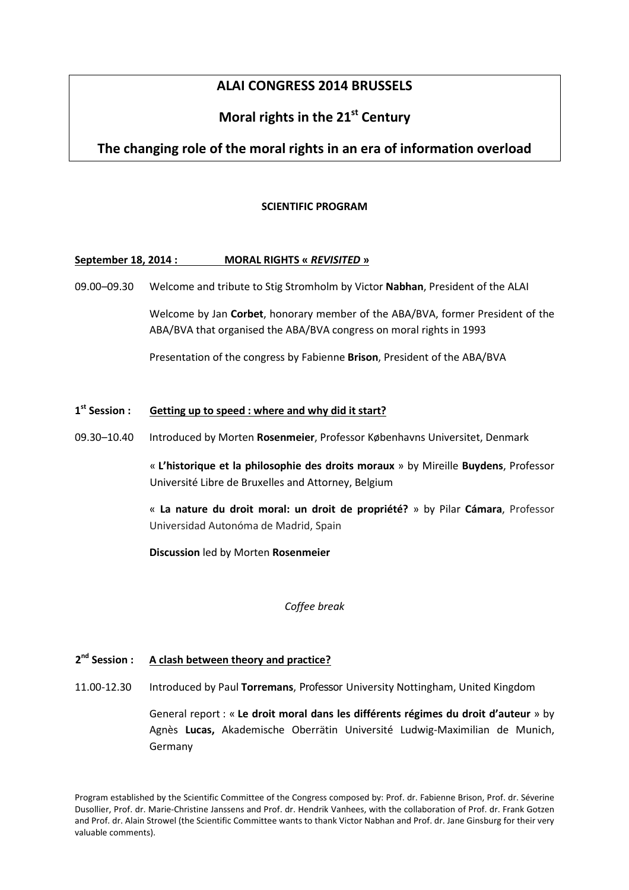# **ALAI CONGRESS 2014 BRUSSELS**

# **Moral rights in the 21st Century**

# **The changing role of the moral rights in an era of information overload**

## **SCIENTIFIC PROGRAM**

## **September 18, 2014 : MORAL RIGHTS «** *REVISITED* **»**

09.00–09.30 Welcome and tribute to Stig Stromholm by Victor **Nabhan**, President of the ALAI

Welcome by Jan **Corbet**, honorary member of the ABA/BVA, former President of the ABA/BVA that organised the ABA/BVA congress on moral rights in 1993

Presentation of the congress by Fabienne **Brison**, President of the ABA/BVA

#### 1<sup>st</sup> Session : **Setting up to speed : where and why did it start?**

09.30–10.40 Introduced by Morten **Rosenmeier**, Professor Københavns Universitet, Denmark

« **L'historique et la philosophie des droits moraux** » by Mireille **Buydens**, Professor Université Libre de Bruxelles and Attorney, Belgium

« **La nature du droit moral: un droit de propriété?** » by Pilar **Cámara**, Professor Universidad Autonóma de Madrid, Spain

**Discussion** led by Morten **Rosenmeier**

*Coffee break* 

#### 2<sup>nd</sup> Session : A clash between theory and practice?

11.00-12.30 Introduced by Paul **Torremans**, Professor University Nottingham, United Kingdom

General report : « **Le droit moral dans les différents régimes du droit d'auteur** » by Agnès **Lucas,** Akademische Oberrätin Université Ludwig-Maximilian de Munich, Germany

Program established by the Scientific Committee of the Congress composed by: Prof. dr. Fabienne Brison, Prof. dr. Séverine Dusollier, Prof. dr. Marie-Christine Janssens and Prof. dr. Hendrik Vanhees, with the collaboration of Prof. dr. Frank Gotzen and Prof. dr. Alain Strowel (the Scientific Committee wants to thank Victor Nabhan and Prof. dr. Jane Ginsburg for their very valuable comments).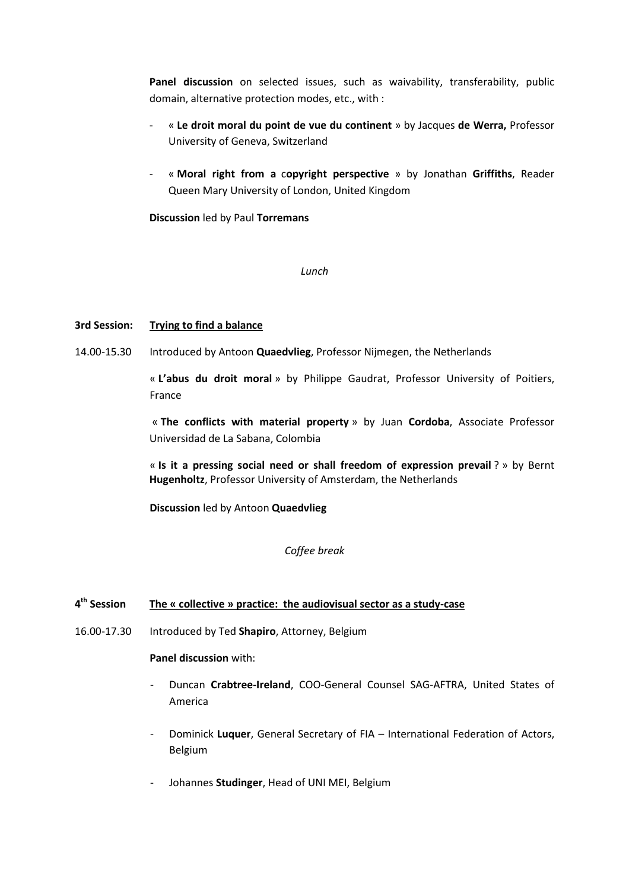Panel discussion on selected issues, such as waivability, transferability, public domain, alternative protection modes, etc., with :

- « **Le droit moral du point de vue du continent** » by Jacques **de Werra,** Professor University of Geneva, Switzerland
- « **Moral right from a** c**opyright perspective** » by Jonathan **Griffiths**, Reader Queen Mary University of London, United Kingdom

**Discussion** led by Paul **Torremans**

*Lunch* 

# **3rd Session: Trying to find a balance**

14.00-15.30 Introduced by Antoon **Quaedvlieg**, Professor Nijmegen, the Netherlands

« **L'abus du droit moral** » by Philippe Gaudrat, Professor University of Poitiers, France

« **The conflicts with material property** » by Juan **Cordoba**, Associate Professor Universidad de La Sabana, Colombia

« **Is it a pressing social need or shall freedom of expression prevail** ? » by Bernt **Hugenholtz**, Professor University of Amsterdam, the Netherlands

**Discussion** led by Antoon **Quaedvlieg**

# *Coffee break*

#### 4<sup>th</sup> Session The « collective » practice: the audiovisual sector as a study-case

16.00-17.30 Introduced by Ted **Shapiro**, Attorney, Belgium

**Panel discussion** with:

- Duncan **Crabtree-Ireland**, COO-General Counsel SAG-AFTRA, United States of America
- Dominick **Luquer**, General Secretary of FIA International Federation of Actors, Belgium
- Johannes **Studinger**, Head of UNI MEI, Belgium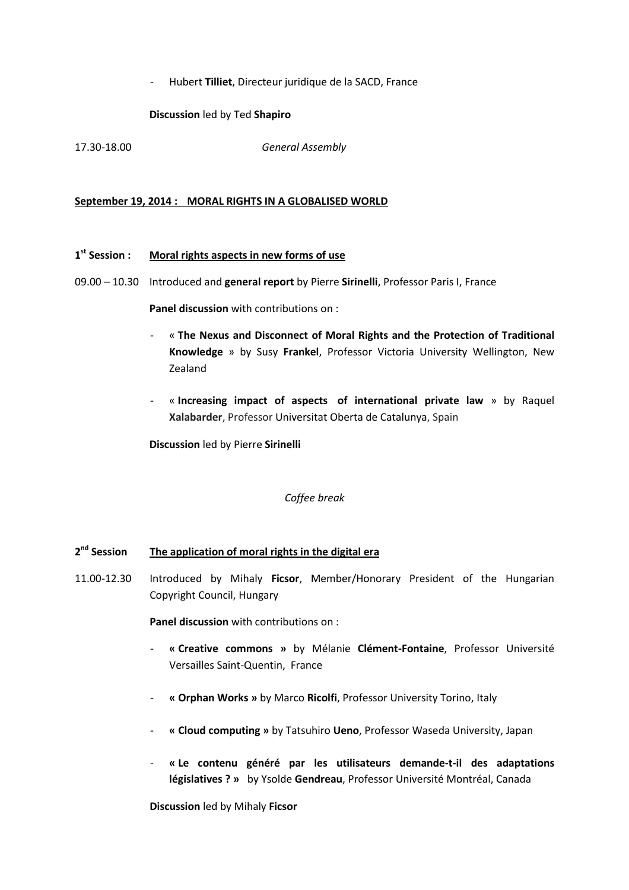- Hubert **Tilliet**, Directeur juridique de la SACD, France

# **Discussion** led by Ted **Shapiro**

17.30-18.00 *General Assembly* 

## **September 19, 2014 : MORAL RIGHTS IN A GLOBALISED WORLD**

#### 1<sup>st</sup> Session : **Moral rights aspects in new forms of use**

09.00 – 10.30 Introduced and **general report** by Pierre **Sirinelli**, Professor Paris I, France

**Panel discussion** with contributions on :

- « **The Nexus and Disconnect of Moral Rights and the Protection of Traditional Knowledge** » by Susy **Frankel**, Professor Victoria University Wellington, New Zealand
- « **Increasing impact of aspects of international private law** » by Raquel **Xalabarder**, Professor Universitat Oberta de Catalunya, Spain

**Discussion** led by Pierre **Sirinelli**

*Coffee break* 

#### 2<sup>nd</sup> Session **The application of moral rights in the digital era**

11.00-12.30 Introduced by Mihaly **Ficsor**, Member/Honorary President of the Hungarian Copyright Council, Hungary

**Panel discussion** with contributions on :

- **« Creative commons »** by Mélanie **Clément-Fontaine**, Professor Université Versailles Saint-Quentin, France
- **« Orphan Works »** by Marco **Ricolfi**, Professor University Torino, Italy
- **« Cloud computing »** by Tatsuhiro **Ueno**, Professor Waseda University, Japan
- **« Le contenu généré par les utilisateurs demande-t-il des adaptations législatives ? »** by Ysolde **Gendreau**, Professor Université Montréal, Canada

**Discussion** led by Mihaly **Ficsor**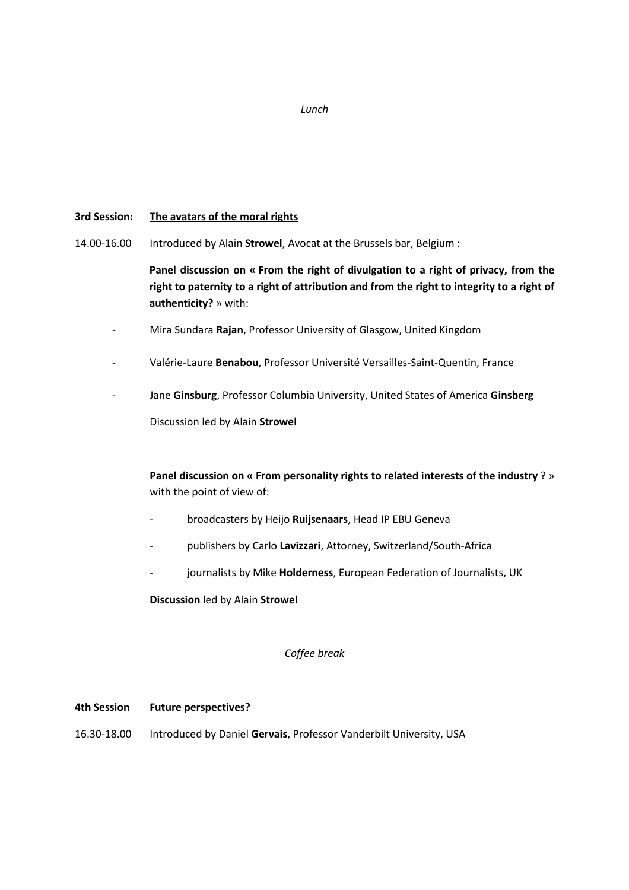### *Lunch*

## **3rd Session: The avatars of the moral rights**

14.00-16.00 Introduced by Alain **Strowel**, Avocat at the Brussels bar, Belgium :

**Panel discussion on « From the right of divulgation to a right of privacy, from the right to paternity to a right of attribution and from the right to integrity to a right of authenticity?** » with:

- Mira Sundara **Rajan**, Professor University of Glasgow, United Kingdom
- Valérie-Laure **Benabou**, Professor Université Versailles-Saint-Quentin, France
- Jane **Ginsburg**, Professor Columbia University, United States of America **Ginsberg**

Discussion led by Alain **Strowel** 

**Panel discussion on « From personality rights to** r**elated interests of the industry** ? » with the point of view of:

- broadcasters by Heijo **Ruijsenaars**, Head IP EBU Geneva
- publishers by Carlo **Lavizzari**, Attorney, Switzerland/South-Africa
- journalists by Mike Holderness, European Federation of Journalists, UK

**Discussion** led by Alain **Strowel**

*Coffee break* 

### **4th Session Future perspectives?**

16.30-18.00 Introduced by Daniel **Gervais**, Professor Vanderbilt University, USA